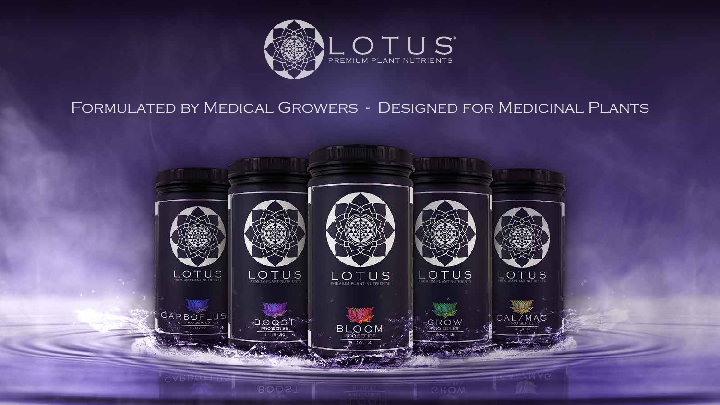

### Formulated by Medical Growers - Designed for Medicinal Plants

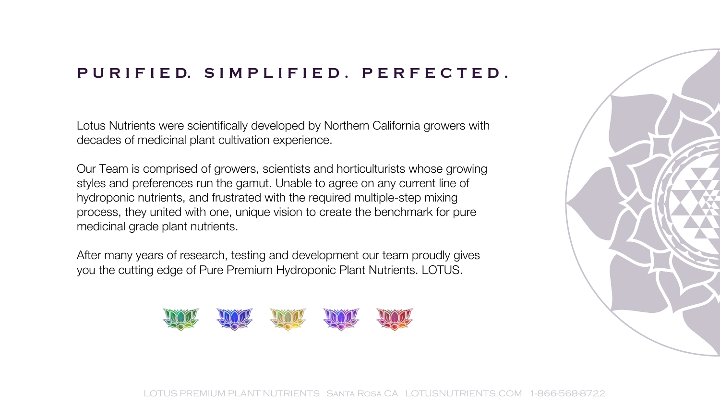#### **PURIFIE D. SIMPLIFIED. PERFECTED.**

Lotus Nutrients were scientifically developed by Northern California growers with decades of medicinal plant cultivation experience.

Our Team is comprised of growers, scientists and horticulturists whose growing styles and preferences run the gamut. Unable to agree on any current line of hydroponic nutrients, and frustrated with the required multiple-step mixing process, they united with one, unique vision to create the benchmark for pure medicinal grade plant nutrients.

After many years of research, testing and development our team proudly gives you the cutting edge of Pure Premium Hydroponic Plant Nutrients. LOTUS.





LOTUS PREMIUM PLANT NUTRIENTS Santa Rosa CA LOTUSNUTRIENTS.COM 1-866-568-8722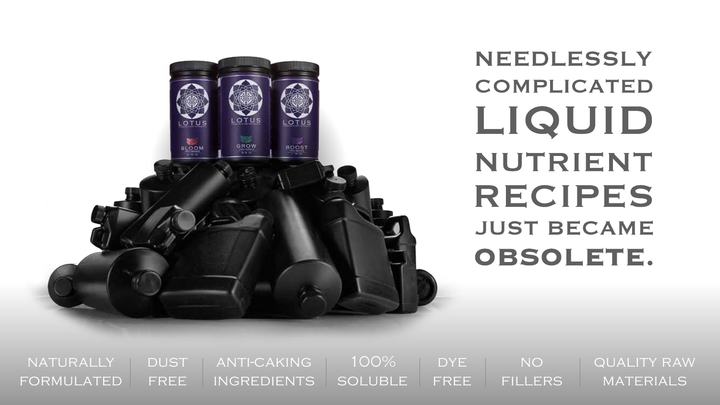

# **NEEDLESSLY COMPLICATED** LIQUID NUTRIENT **RECIPES JUST BECAME** OBSOLETE.

**DUST** FREE **NATURALLY** formulated anti-caking ingredients DYE. FREE quality raw **MATERIALS** no fillers 100% soluble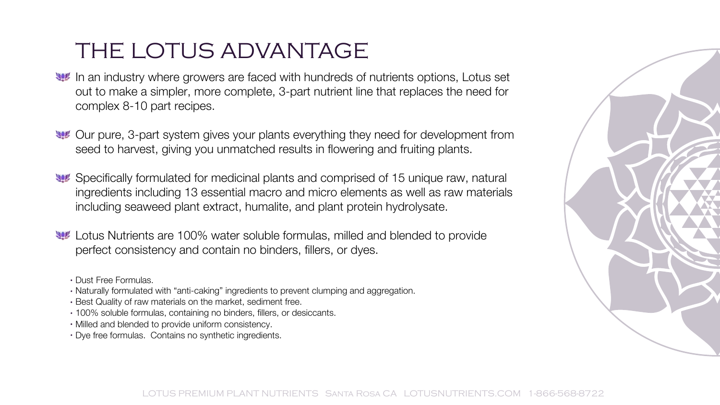# THE LOTUS ADVANTAGE

- In an industry where growers are faced with hundreds of nutrients options, Lotus set out to make a simpler, more complete, 3-part nutrient line that replaces the need for complex 8-10 part recipes.
- Our pure, 3-part system gives your plants everything they need for development from seed to harvest, giving you unmatched results in flowering and fruiting plants.
- Specifically formulated for medicinal plants and comprised of 15 unique raw, natural ingredients including 13 essential macro and micro elements as well as raw materials including seaweed plant extract, humalite, and plant protein hydrolysate.
- Lotus Nutrients are 100% water soluble formulas, milled and blended to provide perfect consistency and contain no binders, fillers, or dyes.
	- Dust Free Formulas.
	- Naturally formulated with "anti-caking" ingredients to prevent clumping and aggregation.
	- Best Quality of raw materials on the market, sediment free.
	- 100% soluble formulas, containing no binders, fillers, or desiccants.
	- Milled and blended to provide uniform consistency.
	- Dye free formulas. Contains no synthetic ingredients.

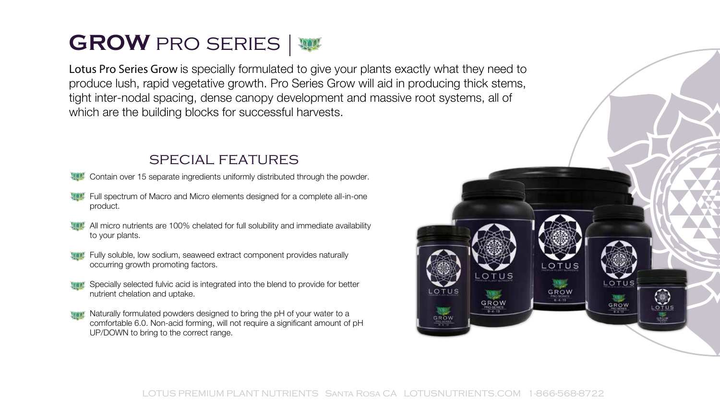# **GROW** PRO SERIES W

Lotus Pro Series Grow is specially formulated to give your plants exactly what they need to produce lush, rapid vegetative growth. Pro Series Grow will aid in producing thick stems, tight inter-nodal spacing, dense canopy development and massive root systems, all of which are the building blocks for successful harvests.

#### special features

- Contain over 15 separate ingredients uniformly distributed through the powder.
- Full spectrum of Macro and Micro elements designed for a complete all-in-one product.
- All micro nutrients are 100% chelated for full solubility and immediate availability to your plants.
- Fully soluble, low sodium, seaweed extract component provides naturally occurring growth promoting factors.
- Specially selected fulvic acid is integrated into the blend to provide for better nutrient chelation and uptake.
- Naturally formulated powders designed to bring the pH of your water to a comfortable 6.0. Non-acid forming, will not require a significant amount of pH UP/DOWN to bring to the correct range.

LOTUS

GROW

 $0 - 4 - 11$ 

LOTUS

GROW

PROGERIE

 $\bigodot$ 

OTUS

GROW

 $8 - 4 - 13$ 

LOTUS

GROW nko aloka:<br>R + 13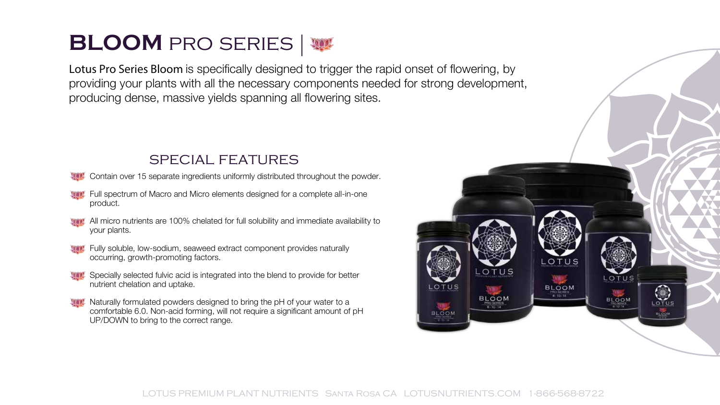### **BLOOM** PRO SERIES W

Lotus Pro Series Bloom is specifically designed to trigger the rapid onset of flowering, by providing your plants with all the necessary components needed for strong development, producing dense, massive yields spanning all flowering sites.

#### special features

Contain over 15 separate ingredients uniformly distributed throughout the powder.

- **WACCE Full spectrum of Macro and Micro elements designed for a complete all-in-one** product.
- All micro nutrients are 100% chelated for full solubility and immediate availability to your plants.
- **Ware Fully soluble, low-sodium, seaweed extract component provides naturally** occurring, growth-promoting factors.
- Specially selected fulvic acid is integrated into the blend to provide for better nutrient chelation and uptake.
- Naturally formulated powders designed to bring the pH of your water to a comfortable 6.0. Non-acid forming, will not require a significant amount of pH UP/DOWN to bring to the correct range.

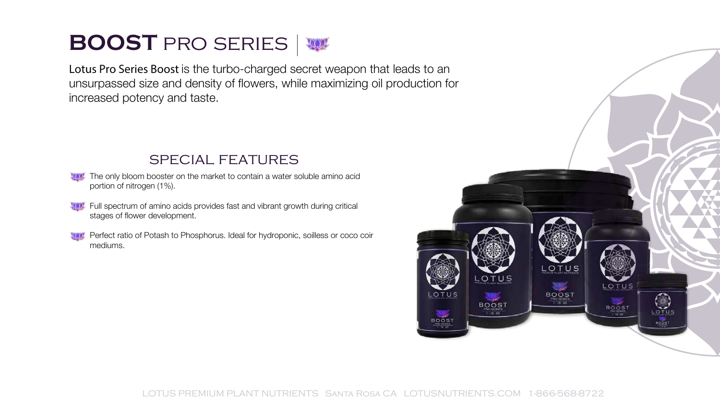# **BOOST** PRO SERIES W

Lotus Pro Series Boost is the turbo-charged secret weapon that leads to an unsurpassed size and density of flowers, while maximizing oil production for increased potency and taste.

#### special features

- The only bloom booster on the market to contain a water soluble amino acid portion of nitrogen (1%).
- **Wall Full spectrum of amino acids provides fast and vibrant growth during critical** stages of flower development.
- **Ware Perfect ratio of Potash to Phosphorus. Ideal for hydroponic, soilless or coco coir** mediums.

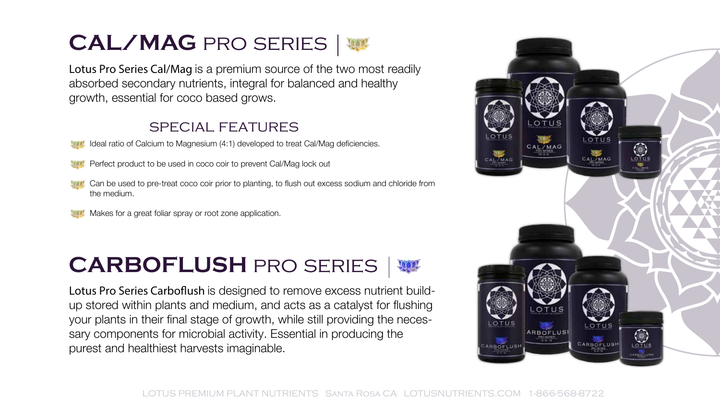# **CAL/MAG** pro series

Lotus Pro Series Cal/Mag is a premium source of the two most readily absorbed secondary nutrients, integral for balanced and healthy growth, essential for coco based grows.

#### special features

- Ideal ratio of Calcium to Magnesium (4:1) developed to treat Cal/Mag deficiencies.
- Perfect product to be used in coco coir to prevent Cal/Mag lock out
- Can be used to pre-treat coco coir prior to planting, to flush out excess sodium and chloride from the medium.
- Makes for a great foliar spray or root zone application.

# **CARBOFLUSH PRO SERIES |**